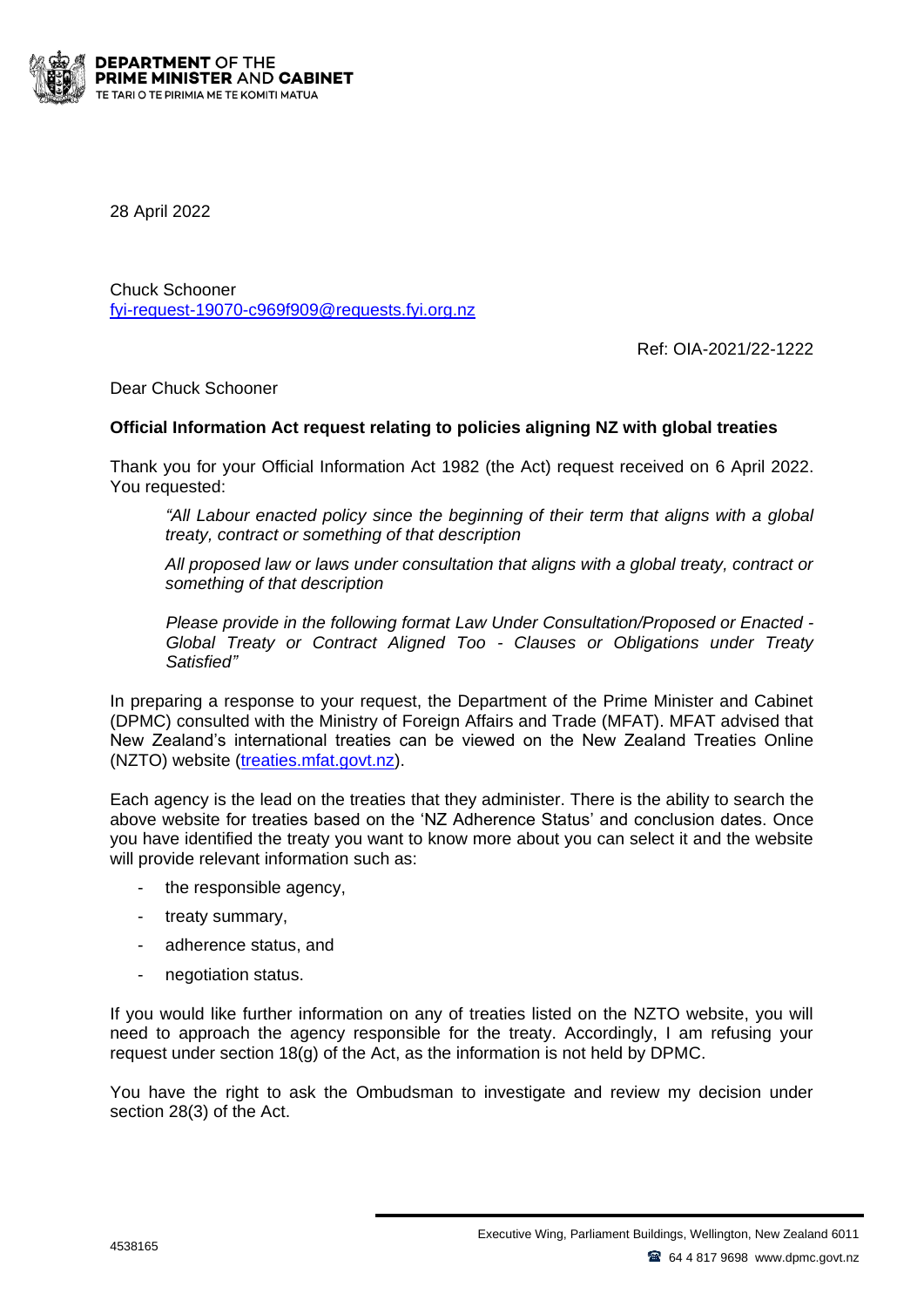

28 April 2022

Chuck Schooner [fyi-request-19070-c969f909@requests.fyi.org.nz](mailto:xxxxxxxxxxxxxxxxxxxxxxxxxx@xxxxxxxx.xxx.xxx.xx)

Ref: OIA-2021/22-1222

Dear Chuck Schooner

## **Official Information Act request relating to policies aligning NZ with global treaties**

Thank you for your Official Information Act 1982 (the Act) request received on 6 April 2022. You requested:

*All Labour enacted policy since the beginning of their term that aligns with a global treaty, contract or something of that description*

*All proposed law or laws under consultation that aligns with a global treaty, contract or something of that description*

*Please provide in the following format Law Under Consultation/Proposed or Enacted - Global Treaty or Contract Aligned Too - Clauses or Obligations under Treaty Satisfied"*

In preparing a response to your request, the Department of the Prime Minister and Cabinet (DPMC) consulted with the Ministry of Foreign Affairs and Trade (MFAT). MFAT advised that New Zealand's international treaties can be viewed on the New Zealand Treaties Online (NZTO) website [\(treaties.mfat.govt.nz\)](https://www.treaties.mfat.govt.nz/).

Each agency is the lead on the treaties that they administer. There is the ability to search the above website for treaties based on the 'NZ Adherence Status' and conclusion dates. Once you have identified the treaty you want to know more about you can select it and the website will provide relevant information such as:

- the responsible agency,
- treaty summary,
- adherence status, and
- negotiation status.

If you would like further information on any of treaties listed on the NZTO website, you will need to approach the agency responsible for the treaty. Accordingly, I am refusing your request under section  $18(q)$  of the Act, as the information is not held by DPMC.

You have the right to ask the Ombudsman to investigate and review my decision under section 28(3) of the Act.